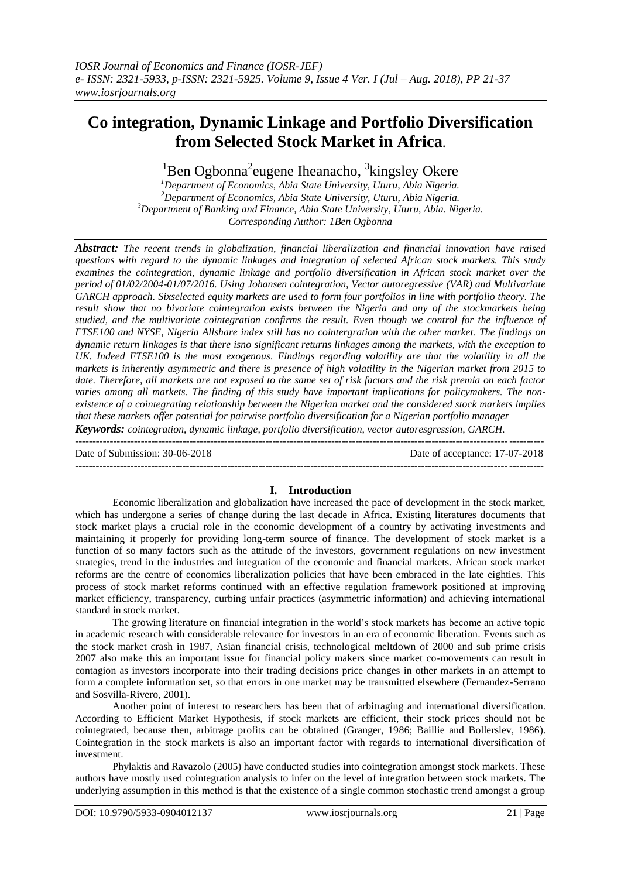# **Co integration, Dynamic Linkage and Portfolio Diversification from Selected Stock Market in Africa.**

 ${}^{1}$ Ben Ogbonna<sup>2</sup>eugene Iheanacho, <sup>3</sup>kingsley Okere

*Department of Economics, Abia State University, Uturu, Abia Nigeria. Department of Economics, Abia State University, Uturu, Abia Nigeria. Department of Banking and Finance, Abia State University, Uturu, Abia. Nigeria. Corresponding Author: 1Ben Ogbonna*

*Abstract: The recent trends in globalization, financial liberalization and financial innovation have raised questions with regard to the dynamic linkages and integration of selected African stock markets. This study examines the cointegration, dynamic linkage and portfolio diversification in African stock market over the period of 01/02/2004-01/07/2016. Using Johansen cointegration, Vector autoregressive (VAR) and Multivariate GARCH approach. Sixselected equity markets are used to form four portfolios in line with portfolio theory. The result show that no bivariate cointegration exists between the Nigeria and any of the stockmarkets being studied, and the multivariate cointegration confirms the result. Even though we control for the influence of FTSE100 and NYSE, Nigeria Allshare index still has no cointergration with the other market. The findings on dynamic return linkages is that there isno significant returns linkages among the markets, with the exception to UK. Indeed FTSE100 is the most exogenous. Findings regarding volatility are that the volatility in all the markets is inherently asymmetric and there is presence of high volatility in the Nigerian market from 2015 to date. Therefore, all markets are not exposed to the same set of risk factors and the risk premia on each factor varies among all markets. The finding of this study have important implications for policymakers. The nonexistence of a cointegrating relationship between the Nigerian market and the considered stock markets implies that these markets offer potential for pairwise portfolio diversification for a Nigerian portfolio manager*

*Keywords: cointegration, dynamic linkage, portfolio diversification, vector autoresgression, GARCH.*

*---------------------------------------------------------------------------------------------------------------------------------------* Date of Submission: 30-06-2018 Date of acceptance: 17-07-2018 ---------------------------------------------------------------------------------------------------------------------------------------

# **I. Introduction**

Economic liberalization and globalization have increased the pace of development in the stock market, which has undergone a series of change during the last decade in Africa. Existing literatures documents that stock market plays a crucial role in the economic development of a country by activating investments and maintaining it properly for providing long-term source of finance. The development of stock market is a function of so many factors such as the attitude of the investors, government regulations on new investment strategies, trend in the industries and integration of the economic and financial markets. African stock market reforms are the centre of economics liberalization policies that have been embraced in the late eighties. This process of stock market reforms continued with an effective regulation framework positioned at improving market efficiency, transparency, curbing unfair practices (asymmetric information) and achieving international standard in stock market.

The growing literature on financial integration in the world's stock markets has become an active topic in academic research with considerable relevance for investors in an era of economic liberation. Events such as the stock market crash in 1987, Asian financial crisis, technological meltdown of 2000 and sub prime crisis 2007 also make this an important issue for financial policy makers since market co-movements can result in contagion as investors incorporate into their trading decisions price changes in other markets in an attempt to form a complete information set, so that errors in one market may be transmitted elsewhere (Fernandez-Serrano and Sosvilla-Rivero, 2001).

Another point of interest to researchers has been that of arbitraging and international diversification. According to Efficient Market Hypothesis, if stock markets are efficient, their stock prices should not be cointegrated, because then, arbitrage profits can be obtained (Granger, 1986; Baillie and Bollerslev, 1986). Cointegration in the stock markets is also an important factor with regards to international diversification of investment.

Phylaktis and Ravazolo (2005) have conducted studies into cointegration amongst stock markets. These authors have mostly used cointegration analysis to infer on the level of integration between stock markets. The underlying assumption in this method is that the existence of a single common stochastic trend amongst a group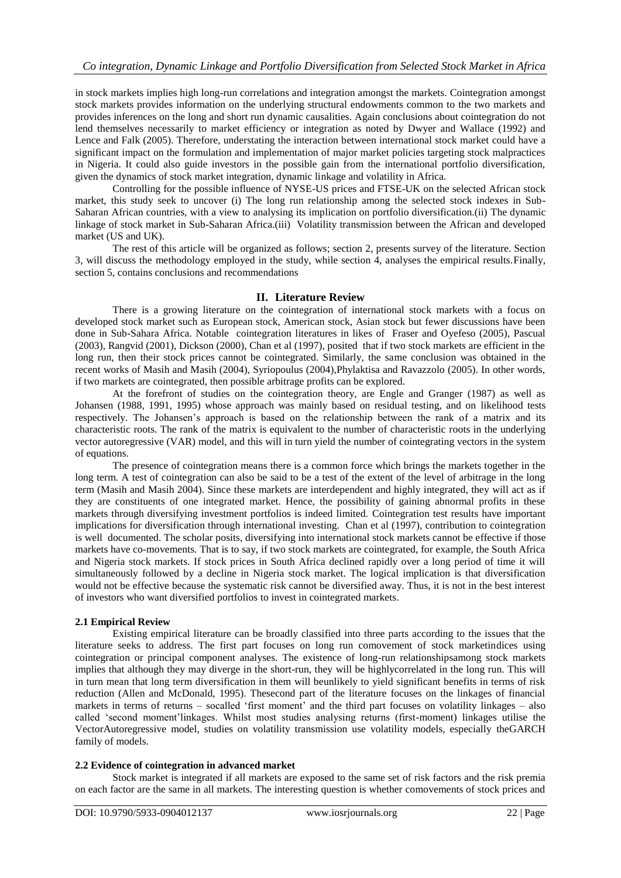in stock markets implies high long-run correlations and integration amongst the markets. Cointegration amongst stock markets provides information on the underlying structural endowments common to the two markets and provides inferences on the long and short run dynamic causalities. Again conclusions about cointegration do not lend themselves necessarily to market efficiency or integration as noted by Dwyer and Wallace (1992) and Lence and Falk (2005). Therefore, understating the interaction between international stock market could have a significant impact on the formulation and implementation of major market policies targeting stock malpractices in Nigeria. It could also guide investors in the possible gain from the international portfolio diversification, given the dynamics of stock market integration, dynamic linkage and volatility in Africa.

Controlling for the possible influence of NYSE-US prices and FTSE-UK on the selected African stock market, this study seek to uncover (i) The long run relationship among the selected stock indexes in Sub-Saharan African countries, with a view to analysing its implication on portfolio diversification.(ii) The dynamic linkage of stock market in Sub-Saharan Africa.(iii) Volatility transmission between the African and developed market (US and UK).

The rest of this article will be organized as follows; section 2, presents survey of the literature. Section 3, will discuss the methodology employed in the study, while section 4, analyses the empirical results.Finally, section 5, contains conclusions and recommendations

# **II. Literature Review**

There is a growing literature on the cointegration of international stock markets with a focus on developed stock market such as European stock, American stock, Asian stock but fewer discussions have been done in Sub-Sahara Africa. Notable cointegration literatures in likes of Fraser and Oyefeso (2005), Pascual (2003), Rangvid (2001), Dickson (2000), Chan et al (1997), posited that if two stock markets are efficient in the long run, then their stock prices cannot be cointegrated. Similarly, the same conclusion was obtained in the recent works of Masih and Masih (2004), Syriopoulus (2004),Phylaktisa and Ravazzolo (2005). In other words, if two markets are cointegrated, then possible arbitrage profits can be explored.

At the forefront of studies on the cointegration theory, are Engle and Granger (1987) as well as Johansen (1988, 1991, 1995) whose approach was mainly based on residual testing, and on likelihood tests respectively. The Johansen's approach is based on the relationship between the rank of a matrix and its characteristic roots. The rank of the matrix is equivalent to the number of characteristic roots in the underlying vector autoregressive (VAR) model, and this will in turn yield the number of cointegrating vectors in the system of equations.

The presence of cointegration means there is a common force which brings the markets together in the long term. A test of cointegration can also be said to be a test of the extent of the level of arbitrage in the long term (Masih and Masih 2004). Since these markets are interdependent and highly integrated, they will act as if they are constituents of one integrated market. Hence, the possibility of gaining abnormal profits in these markets through diversifying investment portfolios is indeed limited. Cointegration test results have important implications for diversification through international investing. Chan et al (1997), contribution to cointegration is well documented. The scholar posits, diversifying into international stock markets cannot be effective if those markets have co-movements. That is to say, if two stock markets are cointegrated, for example, the South Africa and Nigeria stock markets. If stock prices in South Africa declined rapidly over a long period of time it will simultaneously followed by a decline in Nigeria stock market. The logical implication is that diversification would not be effective because the systematic risk cannot be diversified away. Thus, it is not in the best interest of investors who want diversified portfolios to invest in cointegrated markets.

# **2.1 Empirical Review**

Existing empirical literature can be broadly classified into three parts according to the issues that the literature seeks to address. The first part focuses on long run comovement of stock marketindices using cointegration or principal component analyses. The existence of long-run relationshipsamong stock markets implies that although they may diverge in the short-run, they will be highlycorrelated in the long run. This will in turn mean that long term diversification in them will beunlikely to yield significant benefits in terms of risk reduction (Allen and McDonald, 1995). Thesecond part of the literature focuses on the linkages of financial markets in terms of returns – socalled 'first moment' and the third part focuses on volatility linkages – also called ‗second moment'linkages. Whilst most studies analysing returns (first-moment) linkages utilise the VectorAutoregressive model, studies on volatility transmission use volatility models, especially theGARCH family of models.

# **2.2 Evidence of cointegration in advanced market**

Stock market is integrated if all markets are exposed to the same set of risk factors and the risk premia on each factor are the same in all markets. The interesting question is whether comovements of stock prices and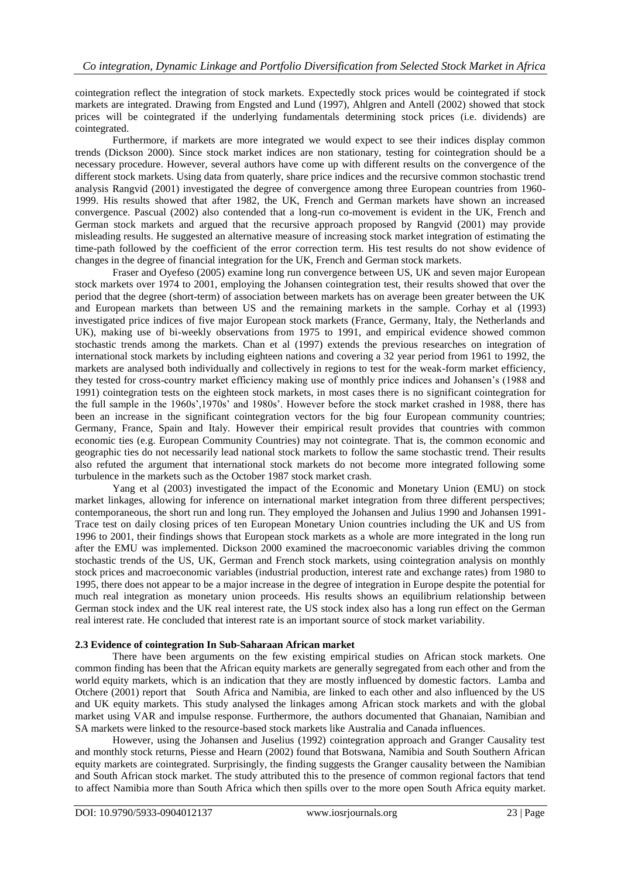cointegration reflect the integration of stock markets. Expectedly stock prices would be cointegrated if stock markets are integrated. Drawing from Engsted and Lund (1997), Ahlgren and Antell (2002) showed that stock prices will be cointegrated if the underlying fundamentals determining stock prices (i.e. dividends) are cointegrated.

Furthermore, if markets are more integrated we would expect to see their indices display common trends (Dickson 2000). Since stock market indices are non stationary, testing for cointegration should be a necessary procedure. However, several authors have come up with different results on the convergence of the different stock markets. Using data from quaterly, share price indices and the recursive common stochastic trend analysis Rangvid (2001) investigated the degree of convergence among three European countries from 1960- 1999. His results showed that after 1982, the UK, French and German markets have shown an increased convergence. Pascual (2002) also contended that a long-run co-movement is evident in the UK, French and German stock markets and argued that the recursive approach proposed by Rangvid (2001) may provide misleading results. He suggested an alternative measure of increasing stock market integration of estimating the time-path followed by the coefficient of the error correction term. His test results do not show evidence of changes in the degree of financial integration for the UK, French and German stock markets.

Fraser and Oyefeso (2005) examine long run convergence between US, UK and seven major European stock markets over 1974 to 2001, employing the Johansen cointegration test, their results showed that over the period that the degree (short-term) of association between markets has on average been greater between the UK and European markets than between US and the remaining markets in the sample. Corhay et al (1993) investigated price indices of five major European stock markets (France, Germany, Italy, the Netherlands and UK), making use of bi-weekly observations from 1975 to 1991, and empirical evidence showed common stochastic trends among the markets. Chan et al (1997) extends the previous researches on integration of international stock markets by including eighteen nations and covering a 32 year period from 1961 to 1992, the markets are analysed both individually and collectively in regions to test for the weak-form market efficiency, they tested for cross-country market efficiency making use of monthly price indices and Johansen's (1988 and 1991) cointegration tests on the eighteen stock markets, in most cases there is no significant cointegration for the full sample in the 1960s',1970s' and 1980s'. However before the stock market crashed in 1988, there has been an increase in the significant cointegration vectors for the big four European community countries; Germany, France, Spain and Italy. However their empirical result provides that countries with common economic ties (e.g. European Community Countries) may not cointegrate. That is, the common economic and geographic ties do not necessarily lead national stock markets to follow the same stochastic trend. Their results also refuted the argument that international stock markets do not become more integrated following some turbulence in the markets such as the October 1987 stock market crash.

Yang et al (2003) investigated the impact of the Economic and Monetary Union (EMU) on stock market linkages, allowing for inference on international market integration from three different perspectives; contemporaneous, the short run and long run. They employed the Johansen and Julius 1990 and Johansen 1991- Trace test on daily closing prices of ten European Monetary Union countries including the UK and US from 1996 to 2001, their findings shows that European stock markets as a whole are more integrated in the long run after the EMU was implemented. Dickson 2000 examined the macroeconomic variables driving the common stochastic trends of the US, UK, German and French stock markets, using cointegration analysis on monthly stock prices and macroeconomic variables (industrial production, interest rate and exchange rates) from 1980 to 1995, there does not appear to be a major increase in the degree of integration in Europe despite the potential for much real integration as monetary union proceeds. His results shows an equilibrium relationship between German stock index and the UK real interest rate, the US stock index also has a long run effect on the German real interest rate. He concluded that interest rate is an important source of stock market variability.

# **2.3 Evidence of cointegration In Sub-Saharaan African market**

There have been arguments on the few existing empirical studies on African stock markets. One common finding has been that the African equity markets are generally segregated from each other and from the world equity markets, which is an indication that they are mostly influenced by domestic factors. Lamba and Otchere (2001) report that South Africa and Namibia, are linked to each other and also influenced by the US and UK equity markets. This study analysed the linkages among African stock markets and with the global market using VAR and impulse response. Furthermore, the authors documented that Ghanaian, Namibian and SA markets were linked to the resource-based stock markets like Australia and Canada influences.

However, using the Johansen and Juselius (1992) cointegration approach and Granger Causality test and monthly stock returns, Piesse and Hearn (2002) found that Botswana, Namibia and South Southern African equity markets are cointegrated. Surprisingly, the finding suggests the Granger causality between the Namibian and South African stock market. The study attributed this to the presence of common regional factors that tend to affect Namibia more than South Africa which then spills over to the more open South Africa equity market.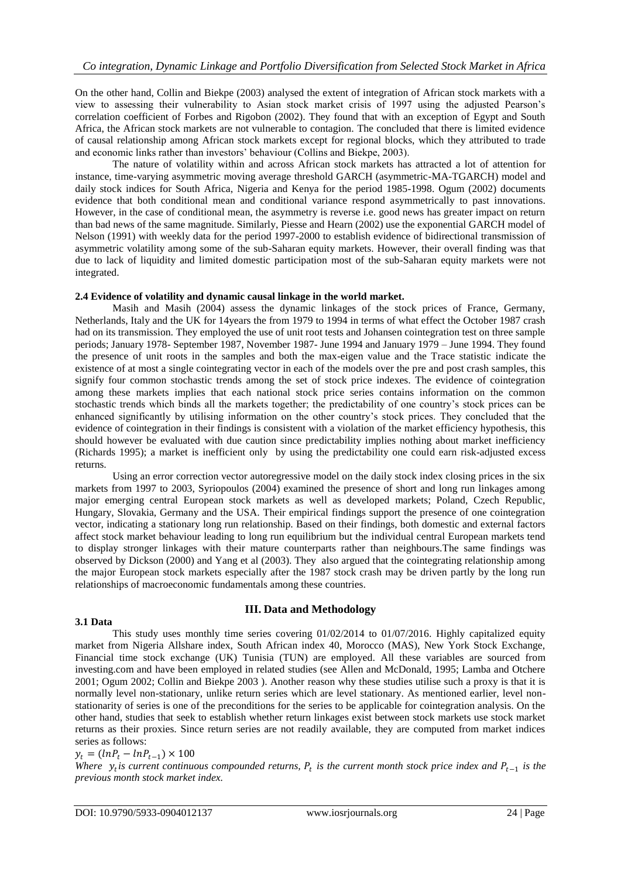On the other hand, Collin and Biekpe (2003) analysed the extent of integration of African stock markets with a view to assessing their vulnerability to Asian stock market crisis of 1997 using the adjusted Pearson's correlation coefficient of Forbes and Rigobon (2002). They found that with an exception of Egypt and South Africa, the African stock markets are not vulnerable to contagion. The concluded that there is limited evidence of causal relationship among African stock markets except for regional blocks, which they attributed to trade and economic links rather than investors' behaviour (Collins and Biekpe, 2003).

The nature of volatility within and across African stock markets has attracted a lot of attention for instance, time-varying asymmetric moving average threshold GARCH (asymmetric-MA-TGARCH) model and daily stock indices for South Africa, Nigeria and Kenya for the period 1985-1998. Ogum (2002) documents evidence that both conditional mean and conditional variance respond asymmetrically to past innovations. However, in the case of conditional mean, the asymmetry is reverse i.e. good news has greater impact on return than bad news of the same magnitude. Similarly, Piesse and Hearn (2002) use the exponential GARCH model of Nelson (1991) with weekly data for the period 1997-2000 to establish evidence of bidirectional transmission of asymmetric volatility among some of the sub-Saharan equity markets. However, their overall finding was that due to lack of liquidity and limited domestic participation most of the sub-Saharan equity markets were not integrated.

# **2.4 Evidence of volatility and dynamic causal linkage in the world market.**

Masih and Masih (2004) assess the dynamic linkages of the stock prices of France, Germany, Netherlands, Italy and the UK for 14years the from 1979 to 1994 in terms of what effect the October 1987 crash had on its transmission. They employed the use of unit root tests and Johansen cointegration test on three sample periods; January 1978- September 1987, November 1987- June 1994 and January 1979 – June 1994. They found the presence of unit roots in the samples and both the max-eigen value and the Trace statistic indicate the existence of at most a single cointegrating vector in each of the models over the pre and post crash samples, this signify four common stochastic trends among the set of stock price indexes. The evidence of cointegration among these markets implies that each national stock price series contains information on the common stochastic trends which binds all the markets together; the predictability of one country's stock prices can be enhanced significantly by utilising information on the other country's stock prices. They concluded that the evidence of cointegration in their findings is consistent with a violation of the market efficiency hypothesis, this should however be evaluated with due caution since predictability implies nothing about market inefficiency (Richards 1995); a market is inefficient only by using the predictability one could earn risk-adjusted excess returns.

Using an error correction vector autoregressive model on the daily stock index closing prices in the six markets from 1997 to 2003, Syriopoulos (2004) examined the presence of short and long run linkages among major emerging central European stock markets as well as developed markets; Poland, Czech Republic, Hungary, Slovakia, Germany and the USA. Their empirical findings support the presence of one cointegration vector, indicating a stationary long run relationship. Based on their findings, both domestic and external factors affect stock market behaviour leading to long run equilibrium but the individual central European markets tend to display stronger linkages with their mature counterparts rather than neighbours.The same findings was observed by Dickson (2000) and Yang et al (2003). They also argued that the cointegrating relationship among the major European stock markets especially after the 1987 stock crash may be driven partly by the long run relationships of macroeconomic fundamentals among these countries.

# **III. Data and Methodology**

# **3.1 Data**

This study uses monthly time series covering 01/02/2014 to 01/07/2016. Highly capitalized equity market from Nigeria Allshare index, South African index 40, Morocco (MAS), New York Stock Exchange, Financial time stock exchange (UK) Tunisia (TUN) are employed. All these variables are sourced from investing.com and have been employed in related studies (see Allen and McDonald, 1995; Lamba and Otchere 2001; Ogum 2002; Collin and Biekpe 2003 ). Another reason why these studies utilise such a proxy is that it is normally level non-stationary, unlike return series which are level stationary. As mentioned earlier, level nonstationarity of series is one of the preconditions for the series to be applicable for cointegration analysis. On the other hand, studies that seek to establish whether return linkages exist between stock markets use stock market returns as their proxies. Since return series are not readily available, they are computed from market indices series as follows:

 $y_t = (ln P_t - ln P_{t-1}) \times 100$ 

*Where*  $y_t$  *is current continuous compounded returns,*  $P_t$  *is the current month stock price index and*  $P_{t-1}$  *is the previous month stock market index.*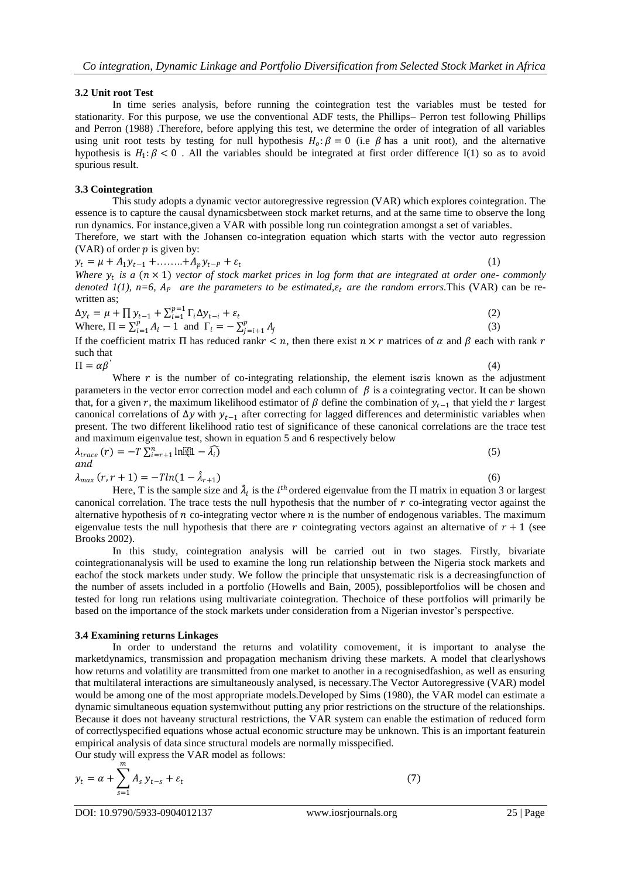#### **3.2 Unit root Test**

In time series analysis, before running the cointegration test the variables must be tested for stationarity. For this purpose, we use the conventional ADF tests, the Phillips– Perron test following Phillips and Perron (1988) .Therefore, before applying this test, we determine the order of integration of all variables using unit root tests by testing for null hypothesis  $H_0: \beta = 0$  (i.e  $\beta$  has a unit root), and the alternative hypothesis is  $H_1: \beta < 0$ . All the variables should be integrated at first order difference I(1) so as to avoid spurious result.

#### **3.3 Cointegration**

This study adopts a dynamic vector autoregressive regression (VAR) which explores cointegration. The essence is to capture the causal dynamicsbetween stock market returns, and at the same time to observe the long run dynamics. For instance,given a VAR with possible long run cointegration amongst a set of variables.

Therefore, we start with the Johansen co-integration equation which starts with the vector auto regression (VAR) of order  $p$  is given by:

 $y_t = \mu + A_1 y_{t-1} + \ldots + A_p y_{t-p} + \varepsilon_t$ 

(1)

 $(4)$ 

*Where*  $y_t$  *is a*  $(n \times 1)$  *vector of stock market prices in log form that are integrated at order one- commonly denoted 1(1), n=6,*  $A_p$  *are the parameters to be estimated,*  $\varepsilon_t$  *are the random errors.* This (VAR) can be rewritten as:

$$
\Delta y_t = \mu + \prod y_{t-1} + \sum_{i=1}^{p-1} \Gamma_i \Delta y_{t-i} + \varepsilon_t
$$
  
Where,  $\Pi = \sum_{i=1}^{p} A_i - 1$  and  $\Gamma_i = -\sum_{j=i+1}^{p} A_j$  (3)

If the coefficient matrix  $\Pi$  has reduced rank  $r < n$ , then there exist  $n \times r$  matrices of  $\alpha$  and  $\beta$  each with rank  $r$ such that

$$
\Pi = \alpha \beta'
$$

Where  $r$  is the number of co-integrating relationship, the element is  $\alpha$  is known as the adjustment parameters in the vector error correction model and each column of  $\beta$  is a cointegrating vector. It can be shown that, for a given r, the maximum likelihood estimator of  $\beta$  define the combination of  $y_{t-1}$  that yield the r largest canonical correlations of  $\Delta y$  with  $y_{t-1}$  after correcting for lagged differences and deterministic variables when present. The two different likelihood ratio test of significance of these canonical correlations are the trace test and maximum eigenvalue test, shown in equation 5 and 6 respectively below

 $\lambda_{trace}(r) = -T \sum_{i=r+1}^{n} \ln(i1 - \widehat{\lambda_i})$ (5) and  $\lambda_{max}(r, r+1) = -T ln(1-\hat{\lambda})$  $(r+1)$  (6)

Here, T is the sample size and  $\hat{\lambda}_i$  is the *i*<sup>th</sup> ordered eigenvalue from the  $\Pi$  matrix in equation 3 or largest canonical correlation. The trace tests the null hypothesis that the number of  $r$  co-integrating vector against the alternative hypothesis of  $n$  co-integrating vector where  $n$  is the number of endogenous variables. The maximum eigenvalue tests the null hypothesis that there are r cointegrating vectors against an alternative of  $r + 1$  (see Brooks 2002).

In this study, cointegration analysis will be carried out in two stages. Firstly, bivariate cointegrationanalysis will be used to examine the long run relationship between the Nigeria stock markets and eachof the stock markets under study. We follow the principle that unsystematic risk is a decreasingfunction of the number of assets included in a portfolio (Howells and Bain, 2005), possibleportfolios will be chosen and tested for long run relations using multivariate cointegration. Thechoice of these portfolios will primarily be based on the importance of the stock markets under consideration from a Nigerian investor's perspective.

# **3.4 Examining returns Linkages**

In order to understand the returns and volatility comovement, it is important to analyse the marketdynamics, transmission and propagation mechanism driving these markets. A model that clearlyshows how returns and volatility are transmitted from one market to another in a recognisedfashion, as well as ensuring that multilateral interactions are simultaneously analysed, is necessary.The Vector Autoregressive (VAR) model would be among one of the most appropriate models.Developed by Sims (1980), the VAR model can estimate a dynamic simultaneous equation systemwithout putting any prior restrictions on the structure of the relationships. Because it does not haveany structural restrictions, the VAR system can enable the estimation of reduced form of correctlyspecified equations whose actual economic structure may be unknown. This is an important featurein empirical analysis of data since structural models are normally misspecified.

Our study will express the VAR model as follows:

$$
y_t = \alpha + \sum_{s=1}^m A_s y_{t-s} + \varepsilon_t \tag{7}
$$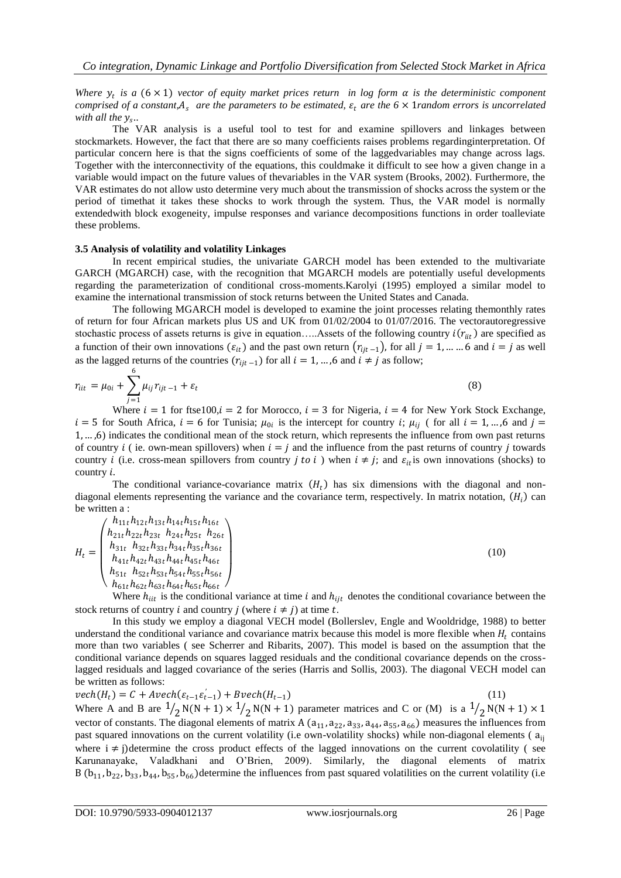*Where*  $y_t$  *is a* (6 × 1) *vector of equity market prices return in log form*  $\alpha$  *<i>is the deterministic component comprised of a constant,*  $A_s$  *are the parameters to be estimated,*  $\varepsilon_t$  *are the 6*  $\times$  *1 random errors is uncorrelated* with all the  $y_s$ ..

The VAR analysis is a useful tool to test for and examine spillovers and linkages between stockmarkets. However, the fact that there are so many coefficients raises problems regardinginterpretation. Of particular concern here is that the signs coefficients of some of the laggedvariables may change across lags. Together with the interconnectivity of the equations, this couldmake it difficult to see how a given change in a variable would impact on the future values of thevariables in the VAR system (Brooks, 2002). Furthermore, the VAR estimates do not allow usto determine very much about the transmission of shocks across the system or the period of timethat it takes these shocks to work through the system. Thus, the VAR model is normally extendedwith block exogeneity, impulse responses and variance decompositions functions in order toalleviate these problems.

# **3.5 Analysis of volatility and volatility Linkages**

In recent empirical studies, the univariate GARCH model has been extended to the multivariate GARCH (MGARCH) case, with the recognition that MGARCH models are potentially useful developments regarding the parameterization of conditional cross-moments.Karolyi (1995) employed a similar model to examine the international transmission of stock returns between the United States and Canada.

The following MGARCH model is developed to examine the joint processes relating themonthly rates of return for four African markets plus US and UK from 01/02/2004 to 01/07/2016. The vectorautoregressive stochastic process of assets returns is give in equation.....Assets of the following country  $i(r_{iit})$  are specified as a function of their own innovations  $(\varepsilon_{it})$  and the past own return  $(r_{i|t-1})$ , for all  $j = 1, \dots \dots 6$  and  $i = j$  as well as the lagged returns of the countries  $(r_{ijt-1})$  for all  $i = 1, ..., 6$  and  $i \neq j$  as follow;

$$
r_{iit} = \mu_{0i} + \sum_{j=1}^{6} \mu_{ij} r_{ijt-1} + \varepsilon_t
$$
 (8)

Where  $i = 1$  for ftse100, $i = 2$  for Morocco,  $i = 3$  for Nigeria,  $i = 4$  for New York Stock Exchange,  $i = 5$  for South Africa,  $i = 6$  for Tunisia;  $\mu_{0i}$  is the intercept for country i;  $\mu_{ij}$  (for all  $i = 1, ..., 6$  and  $j =$ 1, … ,6) indicates the conditional mean of the stock return, which represents the influence from own past returns of country *i* (ie. own-mean spillovers) when  $i = j$  and the influence from the past returns of country *i* towards country *i* (i.e. cross-mean spillovers from country *j* to *i*) when  $i \neq j$ ; and  $\varepsilon_{it}$  is own innovations (shocks) to country  $i$ .

The conditional variance-covariance matrix  $(H_t)$  has six dimensions with the diagonal and nondiagonal elements representing the variance and the covariance term, respectively. In matrix notation,  $(H_i)$  can be written a :

$$
H_{t} = \begin{pmatrix} h_{11t}h_{12t}h_{13t}h_{14t}h_{15t}h_{16t} \\ h_{21t}h_{22t}h_{23t} & h_{24t}h_{25t} & h_{26t} \\ h_{31t} & h_{32t}h_{33t}h_{34t}h_{35t}h_{36t} \\ h_{41t}h_{42t}h_{43t}h_{44t}h_{45t}h_{46t} \\ h_{51t} & h_{52t}h_{53t}h_{54t}h_{55t}h_{56t} \\ h_{61t}h_{62t}h_{63t}h_{64t}h_{65t}h_{66t} \end{pmatrix}
$$
 (10)

Where  $h_{iit}$  is the conditional variance at time *i* and  $h_{ijt}$  denotes the conditional covariance between the stock returns of country *i* and country *j* (where  $i \neq j$ ) at time *t*.

In this study we employ a diagonal VECH model (Bollerslev, Engle and Wooldridge, 1988) to better understand the conditional variance and covariance matrix because this model is more flexible when  $H_t$  contains more than two variables ( see Scherrer and Ribarits, 2007). This model is based on the assumption that the conditional variance depends on squares lagged residuals and the conditional covariance depends on the crosslagged residuals and lagged covariance of the series (Harris and Sollis, 2003). The diagonal VECH model can be written as follows:

 $vech(H_t) = C + Avech(\varepsilon_{t-1}\varepsilon_{t-1}^{'} ) + Bvech(H_{t-1})$  (11) Where A and B are  $\frac{1}{2}N(N + 1) \times \frac{1}{2}N(N + 1)$  parameter matrices and C or (M) is a  $\frac{1}{2}N(N + 1) \times 1$ vector of constants. The diagonal elements of matrix A  $(a_{11}, a_{22}, a_{33}, a_{44}, a_{55}, a_{66})$  measures the influences from past squared innovations on the current volatility (i.e own-volatility shocks) while non-diagonal elements (a<sub>ij</sub> where  $i \neq j$ )determine the cross product effects of the lagged innovations on the current covolatility (see Karunanayake, Valadkhani and O'Brien, 2009). Similarly, the diagonal elements of matrix B ( $b_{11}$ ,  $b_{22}$ ,  $b_{33}$ ,  $b_{44}$ ,  $b_{55}$ ,  $b_{66}$ ) determine the influences from past squared volatilities on the current volatility (i.e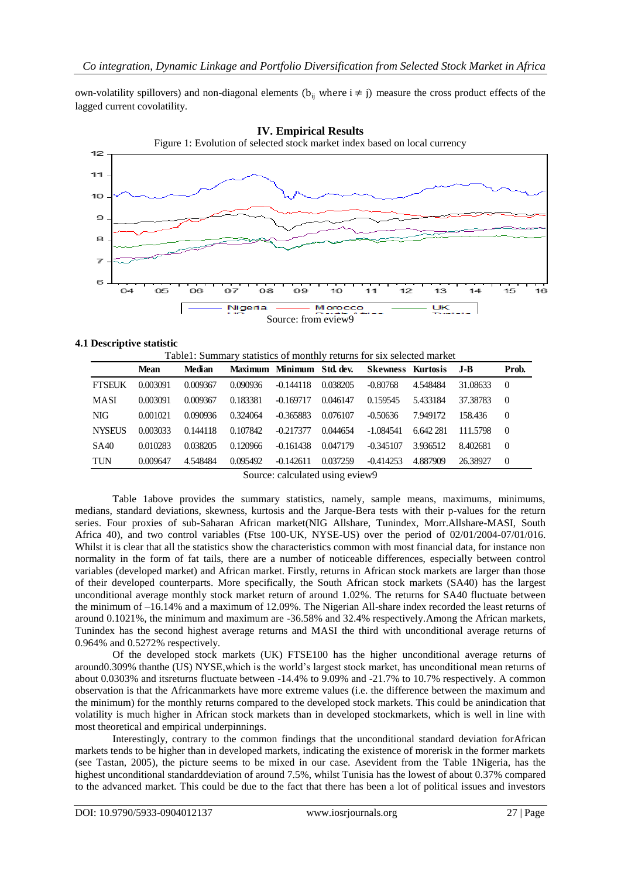own-volatility spillovers) and non-diagonal elements ( $b_{ii}$  where  $i \neq j$ ) measure the cross product effects of the lagged current covolatility.



# **4.1 Descriptive statistic**

|               | Table1: Summary statistics of monthly returns for six selected market |               |          |                                               |          |                          |           |          |          |  |
|---------------|-----------------------------------------------------------------------|---------------|----------|-----------------------------------------------|----------|--------------------------|-----------|----------|----------|--|
|               | <b>Mean</b>                                                           | <b>Median</b> |          | Maximum Minimum Std. dev.                     |          | <b>Skewness Kurtosis</b> |           | .I-B     | Prob.    |  |
| <b>FTSEUK</b> | 0.003091                                                              | 0.009367      | 0.090936 | $-0.144118$                                   | 0.038205 | $-0.80768$               | 4.548484  | 31.08633 | $\theta$ |  |
| MASI          | 0.003091                                                              | 0.009367      | 0.183381 | $-0.169717$                                   | 0.046147 | 0.159545                 | 5.433184  | 37.38783 | $\theta$ |  |
| <b>NIG</b>    | 0.001021                                                              | 0.090936      | 0.324064 | $-0.365883$                                   | 0.076107 | $-0.50636$               | 7.949172  | 158.436  | $\Omega$ |  |
| <b>NYSEUS</b> | 0.003033                                                              | 0.144118      | 0.107842 | $-0.217377$                                   | 0.044654 | $-1.084541$              | 6.642.281 | 111.5798 | $\Omega$ |  |
| <b>SA40</b>   | 0.010283                                                              | 0.038205      | 0.120966 | $-0.161438$                                   | 0.047179 | $-0.345107$              | 3.936512  | 8.402681 | $\theta$ |  |
| TUN           | 0.009647                                                              | 4.548484      | 0.095492 | $-0.142611$                                   | 0.037259 | $-0.414253$              | 4.887909  | 26.38927 | $\theta$ |  |
|               |                                                                       |               |          | $\alpha$ , and $\alpha$ is the state $\alpha$ |          |                          |           |          |          |  |

Source: calculated using eview9

Table 1above provides the summary statistics, namely, sample means, maximums, minimums, medians, standard deviations, skewness, kurtosis and the Jarque-Bera tests with their p-values for the return series. Four proxies of sub-Saharan African market(NIG Allshare, Tunindex, Morr.Allshare-MASI, South Africa 40), and two control variables (Ftse 100-UK, NYSE-US) over the period of 02/01/2004-07/01/016. Whilst it is clear that all the statistics show the characteristics common with most financial data, for instance non normality in the form of fat tails, there are a number of noticeable differences, especially between control variables (developed market) and African market. Firstly, returns in African stock markets are larger than those of their developed counterparts. More specifically, the South African stock markets (SA40) has the largest unconditional average monthly stock market return of around 1.02%. The returns for SA40 fluctuate between the minimum of –16.14% and a maximum of 12.09%. The Nigerian All-share index recorded the least returns of around 0.1021%, the minimum and maximum are -36.58% and 32.4% respectively.Among the African markets, Tunindex has the second highest average returns and MASI the third with unconditional average returns of 0.964% and 0.5272% respectively.

Of the developed stock markets (UK) FTSE100 has the higher unconditional average returns of around0.309% thanthe (US) NYSE,which is the world's largest stock market, has unconditional mean returns of about 0.0303% and itsreturns fluctuate between -14.4% to 9.09% and -21.7% to 10.7% respectively. A common observation is that the Africanmarkets have more extreme values (i.e. the difference between the maximum and the minimum) for the monthly returns compared to the developed stock markets. This could be anindication that volatility is much higher in African stock markets than in developed stockmarkets, which is well in line with most theoretical and empirical underpinnings.

Interestingly, contrary to the common findings that the unconditional standard deviation forAfrican markets tends to be higher than in developed markets, indicating the existence of morerisk in the former markets (see Tastan, 2005), the picture seems to be mixed in our case. Asevident from the Table 1Nigeria, has the highest unconditional standarddeviation of around 7.5%, whilst Tunisia has the lowest of about 0.37% compared to the advanced market. This could be due to the fact that there has been a lot of political issues and investors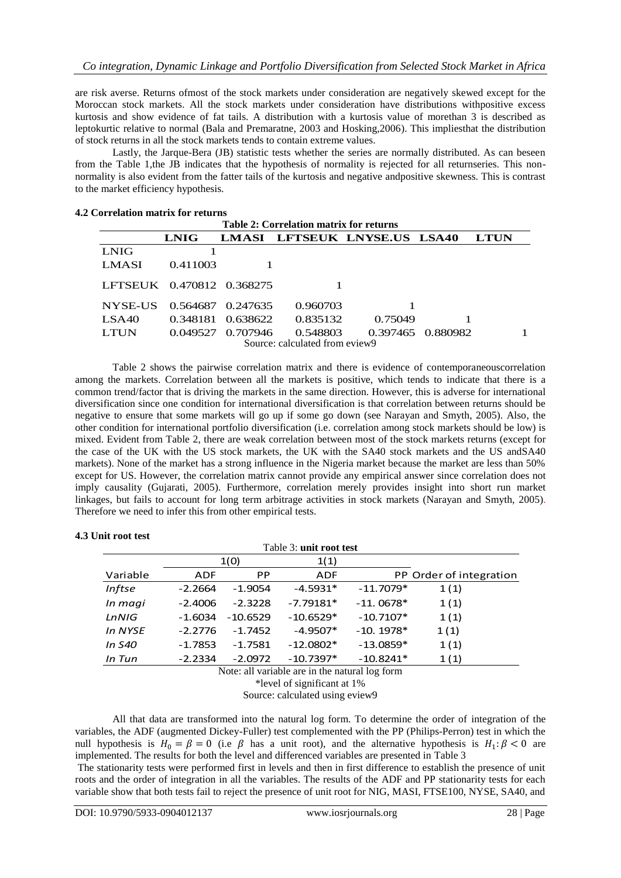are risk averse. Returns ofmost of the stock markets under consideration are negatively skewed except for the Moroccan stock markets. All the stock markets under consideration have distributions withpositive excess kurtosis and show evidence of fat tails. A distribution with a kurtosis value of morethan 3 is described as leptokurtic relative to normal (Bala and Premaratne, 2003 and Hosking,2006). This impliesthat the distribution of stock returns in all the stock markets tends to contain extreme values.

Lastly, the Jarque-Bera (JB) statistic tests whether the series are normally distributed. As can beseen from the Table 1,the JB indicates that the hypothesis of normality is rejected for all returnseries. This nonnormality is also evident from the fatter tails of the kurtosis and negative andpositive skewness. This is contrast to the market efficiency hypothesis.

# **4.2 Correlation matrix for returns**

| Table 2: Correlation matrix for returns |                                |                   |          |                              |                   |             |  |  |  |
|-----------------------------------------|--------------------------------|-------------------|----------|------------------------------|-------------------|-------------|--|--|--|
|                                         | <b>LNIG</b>                    |                   |          | LMASI LFTSEUK LNYSE.US LSA40 |                   | <b>LTUN</b> |  |  |  |
| LNIG                                    |                                |                   |          |                              |                   |             |  |  |  |
| LMASI                                   | 0.411003                       |                   |          |                              |                   |             |  |  |  |
| LFTSEUK 0.470812 0.368275               |                                |                   |          |                              |                   |             |  |  |  |
| NYSE-US                                 |                                | 0.564687 0.247635 | 0.960703 |                              |                   |             |  |  |  |
| LSA40                                   | 0.348181                       | 0.638622          | 0.835132 | 0.75049                      |                   |             |  |  |  |
| <b>LTUN</b>                             | 0.049527                       | 0.707946          | 0.548803 |                              | 0.397465 0.880982 |             |  |  |  |
|                                         | Source: calculated from eview9 |                   |          |                              |                   |             |  |  |  |

Table 2 shows the pairwise correlation matrix and there is evidence of contemporaneouscorrelation among the markets. Correlation between all the markets is positive, which tends to indicate that there is a common trend/factor that is driving the markets in the same direction. However, this is adverse for international diversification since one condition for international diversification is that correlation between returns should be negative to ensure that some markets will go up if some go down (see Narayan and Smyth, 2005). Also, the other condition for international portfolio diversification (i.e. correlation among stock markets should be low) is mixed. Evident from Table 2, there are weak correlation between most of the stock markets returns (except for the case of the UK with the US stock markets, the UK with the SA40 stock markets and the US andSA40 markets). None of the market has a strong influence in the Nigeria market because the market are less than 50% except for US. However, the correlation matrix cannot provide any empirical answer since correlation does not imply causality (Gujarati, 2005). Furthermore, correlation merely provides insight into short run market linkages, but fails to account for long term arbitrage activities in stock markets (Narayan and Smyth, 2005). Therefore we need to infer this from other empirical tests.

| Table 3: unit root test |            |            |             |             |                         |  |  |  |  |
|-------------------------|------------|------------|-------------|-------------|-------------------------|--|--|--|--|
|                         |            | 1(0)       | 1(1)        |             |                         |  |  |  |  |
| Variable                | <b>ADF</b> | <b>PP</b>  | <b>ADF</b>  |             | PP Order of integration |  |  |  |  |
| <b>Inftse</b>           | $-2.2664$  | $-1.9054$  | $-4.5931*$  | $-11.7079*$ | 1(1)                    |  |  |  |  |
| In magi                 | $-2.4006$  | $-2.3228$  | $-7.79181*$ | $-11.0678*$ | 1(1)                    |  |  |  |  |
| LnNIG                   | $-1.6034$  | $-10.6529$ | $-10.6529*$ | $-10.7107*$ | 1(1)                    |  |  |  |  |
| In NYSE                 | $-2.2776$  | $-1.7452$  | $-4.9507*$  | $-10.1978*$ | 1(1)                    |  |  |  |  |
| In S40                  | $-1.7853$  | $-1.7581$  | $-12.0802*$ | $-13.0859*$ | 1(1)                    |  |  |  |  |
| In Tun                  | $-2.2334$  | $-2.0972$  | $-10.7397*$ | $-10.8241*$ | 1(1)                    |  |  |  |  |

# **4.3 Unit root test**

Note: all variable are in the natural log form

\*level of significant at 1%

Source: calculated using eview9

All that data are transformed into the natural log form. To determine the order of integration of the variables, the ADF (augmented Dickey-Fuller) test complemented with the PP (Philips-Perron) test in which the null hypothesis is  $H_0 = \beta = 0$  (i.e  $\beta$  has a unit root), and the alternative hypothesis is  $H_1: \beta < 0$  are implemented. The results for both the level and differenced variables are presented in Table 3

The stationarity tests were performed first in levels and then in first difference to establish the presence of unit roots and the order of integration in all the variables. The results of the ADF and PP stationarity tests for each variable show that both tests fail to reject the presence of unit root for NIG, MASI, FTSE100, NYSE, SA40, and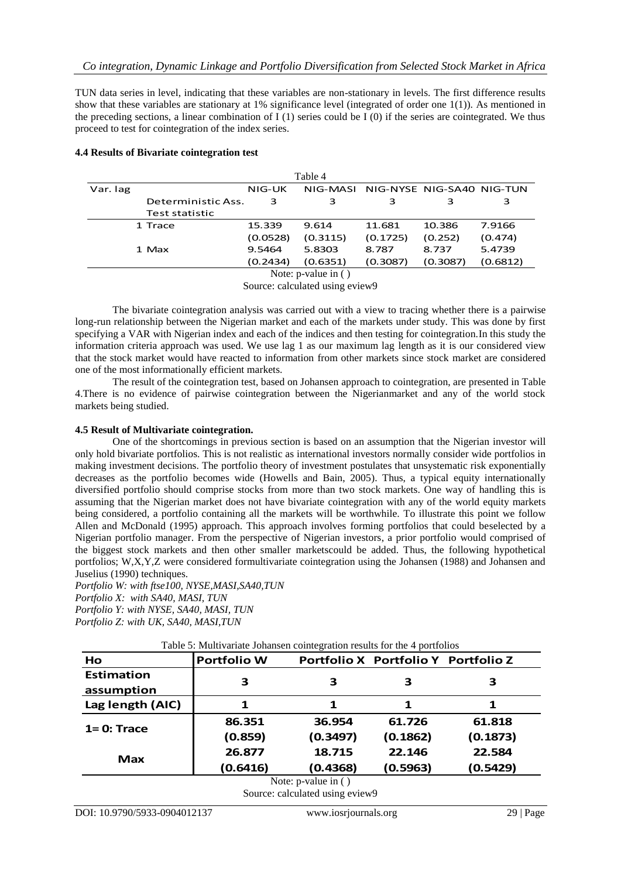TUN data series in level, indicating that these variables are non-stationary in levels. The first difference results show that these variables are stationary at 1% significance level (integrated of order one 1(1)). As mentioned in the preceding sections, a linear combination of  $I(1)$  series could be  $I(0)$  if the series are cointegrated. We thus proceed to test for cointegration of the index series.

| Table 4  |                           |          |                        |                                    |          |          |  |  |
|----------|---------------------------|----------|------------------------|------------------------------------|----------|----------|--|--|
| Var. lag |                           | NIG-UK   |                        | NIG-MASI NIG-NYSE NIG-SA40 NIG-TUN |          |          |  |  |
|          | Deterministic Ass.        | 3        | 3                      | 3                                  | 3        | 3        |  |  |
|          | Test statistic            |          |                        |                                    |          |          |  |  |
|          | 1 Trace                   | 15.339   | 9.614                  | 11.681                             | 10.386   | 7.9166   |  |  |
|          |                           | (0.0528) | (0.3115)               | (0.1725)                           | (0.252)  | (0.474)  |  |  |
|          | 1 Max                     | 9.5464   | 5.8303                 | 8.787                              | 8.737    | 5.4739   |  |  |
|          |                           | (0.2434) | (0.6351)               | (0.3087)                           | (0.3087) | (0.6812) |  |  |
|          | Note: $p$ -value in $( )$ |          |                        |                                    |          |          |  |  |
|          |                           |          | $\alpha$ 11.1 $\alpha$ |                                    |          |          |  |  |

#### **4.4 Results of Bivariate cointegration test**

Source: calculated using eview9

The bivariate cointegration analysis was carried out with a view to tracing whether there is a pairwise long-run relationship between the Nigerian market and each of the markets under study. This was done by first specifying a VAR with Nigerian index and each of the indices and then testing for cointegration.In this study the information criteria approach was used. We use lag 1 as our maximum lag length as it is our considered view that the stock market would have reacted to information from other markets since stock market are considered one of the most informationally efficient markets.

The result of the cointegration test, based on Johansen approach to cointegration, are presented in Table 4.There is no evidence of pairwise cointegration between the Nigerianmarket and any of the world stock markets being studied.

# **4.5 Result of Multivariate cointegration.**

One of the shortcomings in previous section is based on an assumption that the Nigerian investor will only hold bivariate portfolios. This is not realistic as international investors normally consider wide portfolios in making investment decisions. The portfolio theory of investment postulates that unsystematic risk exponentially decreases as the portfolio becomes wide (Howells and Bain, 2005). Thus, a typical equity internationally diversified portfolio should comprise stocks from more than two stock markets. One way of handling this is assuming that the Nigerian market does not have bivariate cointegration with any of the world equity markets being considered, a portfolio containing all the markets will be worthwhile. To illustrate this point we follow Allen and McDonald (1995) approach. This approach involves forming portfolios that could beselected by a Nigerian portfolio manager. From the perspective of Nigerian investors, a prior portfolio would comprised of the biggest stock markets and then other smaller marketscould be added. Thus, the following hypothetical portfolios; W,X,Y,Z were considered formultivariate cointegration using the Johansen (1988) and Johansen and Juselius (1990) techniques.

*Portfolio W: with ftse100, NYSE,MASI,SA40,TUN Portfolio X: with SA40, MASI, TUN Portfolio Y: with NYSE, SA40, MASI, TUN Portfolio Z: with UK, SA40, MASI,TUN*

| Ho                | <b>Portfolio W</b> |          | Portfolio X Portfolio Y Portfolio Z |          |  |
|-------------------|--------------------|----------|-------------------------------------|----------|--|
| <b>Estimation</b> |                    |          |                                     |          |  |
| assumption        | З                  | 3        | З                                   | З        |  |
| Lag length (AIC)  | 1                  | 1        | 1                                   | 1        |  |
| $1=0:Trace$       | 86.351             | 36.954   | 61.726                              | 61.818   |  |
|                   | (0.859)            | (0.3497) | (0.1862)                            | (0.1873) |  |
|                   | 26.877             | 18.715   | 22.146                              | 22.584   |  |
| Max               | (0.6416)           | (0.4368) | (0.5963)                            | (0.5429) |  |

Source: calculated using eview9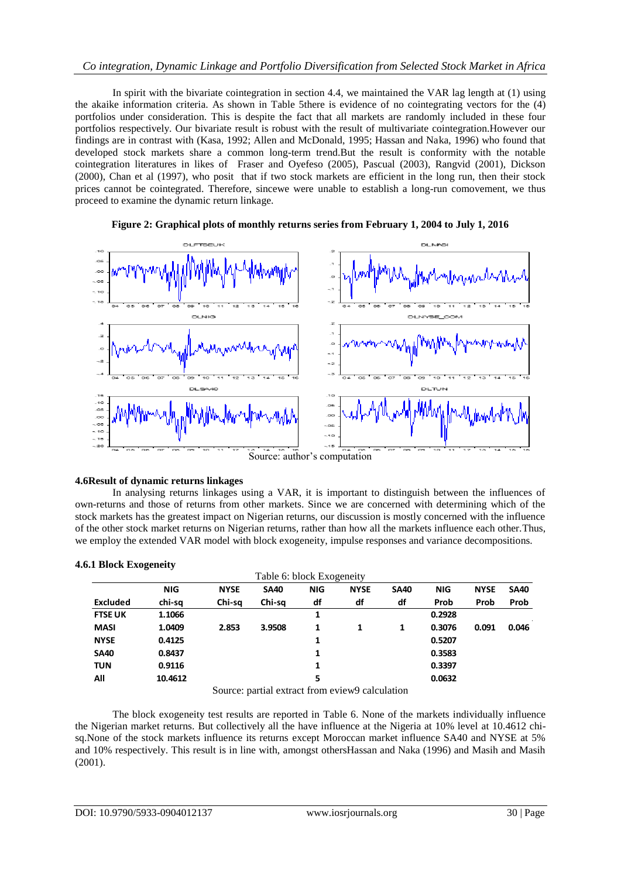# *Co integration, Dynamic Linkage and Portfolio Diversification from Selected Stock Market in Africa*

In spirit with the bivariate cointegration in section 4.4, we maintained the VAR lag length at (1) using the akaike information criteria. As shown in Table 5there is evidence of no cointegrating vectors for the (4) portfolios under consideration. This is despite the fact that all markets are randomly included in these four portfolios respectively. Our bivariate result is robust with the result of multivariate cointegration.However our findings are in contrast with (Kasa, 1992; Allen and McDonald, 1995; Hassan and Naka, 1996) who found that developed stock markets share a common long-term trend.But the result is conformity with the notable cointegration literatures in likes of Fraser and Oyefeso (2005), Pascual (2003), Rangvid (2001), Dickson (2000), Chan et al (1997), who posit that if two stock markets are efficient in the long run, then their stock prices cannot be cointegrated. Therefore, sincewe were unable to establish a long-run comovement, we thus proceed to examine the dynamic return linkage.



# **Figure 2: Graphical plots of monthly returns series from February 1, 2004 to July 1, 2016**

# Source: author's computation

# **4.6Result of dynamic returns linkages**

In analysing returns linkages using a VAR, it is important to distinguish between the influences of own-returns and those of returns from other markets. Since we are concerned with determining which of the stock markets has the greatest impact on Nigerian returns, our discussion is mostly concerned with the influence of the other stock market returns on Nigerian returns, rather than how all the markets influence each other.Thus, we employ the extended VAR model with block exogeneity, impulse responses and variance decompositions.

# **4.6.1 Block Exogeneity**

| Table 6: block Exogeneity |            |             |             |            |             |             |            |             |             |
|---------------------------|------------|-------------|-------------|------------|-------------|-------------|------------|-------------|-------------|
|                           | <b>NIG</b> | <b>NYSE</b> | <b>SA40</b> | <b>NIG</b> | <b>NYSE</b> | <b>SA40</b> | <b>NIG</b> | <b>NYSE</b> | <b>SA40</b> |
| <b>Excluded</b>           | chi-sa     | Chi-sa      | Chi-sa      | df         | df          | df          | Prob       | Prob        | Prob        |
| <b>FTSE UK</b>            | 1.1066     |             |             | 1          |             |             | 0.2928     |             | $\sim$      |
| <b>MASI</b>               | 1.0409     | 2.853       | 3.9508      | 1          | 1           | 1           | 0.3076     | 0.091       | 0.046       |
| <b>NYSE</b>               | 0.4125     |             |             | 1          |             |             | 0.5207     |             |             |
| <b>SA40</b>               | 0.8437     |             |             | 1          |             |             | 0.3583     |             |             |
| <b>TUN</b>                | 0.9116     |             |             | 1          |             |             | 0.3397     |             |             |
| All                       | 10.4612    | $\sim$      | . .         | 5          | $\sim$      | .           | 0.0632     |             |             |

Source: partial extract from eview9 calculation

The block exogeneity test results are reported in Table 6. None of the markets individually influence the Nigerian market returns. But collectively all the have influence at the Nigeria at 10% level at 10.4612 chisq.None of the stock markets influence its returns except Moroccan market influence SA40 and NYSE at 5% and 10% respectively. This result is in line with, amongst othersHassan and Naka (1996) and Masih and Masih (2001).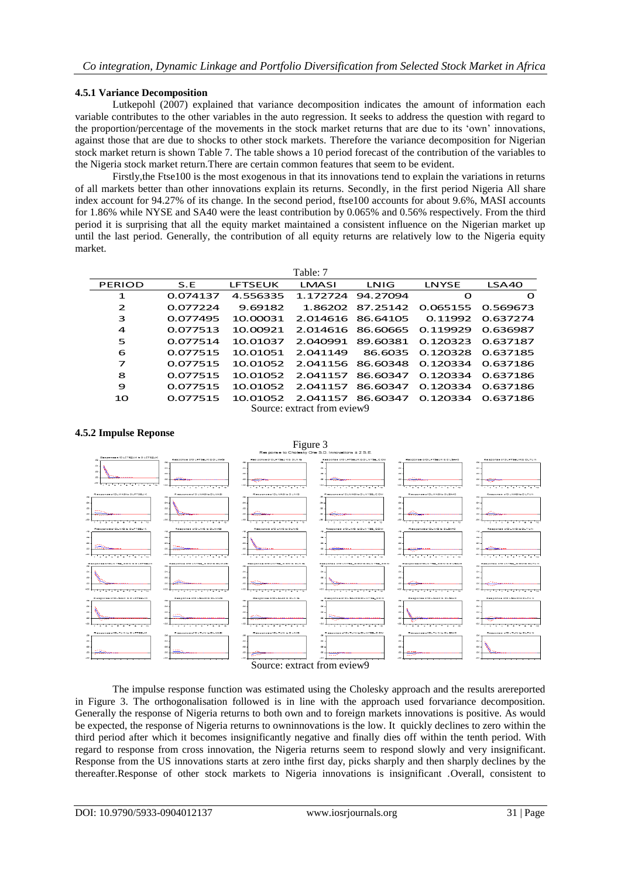# **4.5.1 Variance Decomposition**

Lutkepohl (2007) explained that variance decomposition indicates the amount of information each variable contributes to the other variables in the auto regression. It seeks to address the question with regard to the proportion/percentage of the movements in the stock market returns that are due to its 'own' innovations, against those that are due to shocks to other stock markets. Therefore the variance decomposition for Nigerian stock market return is shown Table 7. The table shows a 10 period forecast of the contribution of the variables to the Nigeria stock market return.There are certain common features that seem to be evident.

Firstly,the Ftse100 is the most exogenous in that its innovations tend to explain the variations in returns of all markets better than other innovations explain its returns. Secondly, in the first period Nigeria All share index account for 94.27% of its change. In the second period, ftse100 accounts for about 9.6%, MASI accounts for 1.86% while NYSE and SA40 were the least contribution by 0.065% and 0.56% respectively. From the third period it is surprising that all the equity market maintained a consistent influence on the Nigerian market up until the last period. Generally, the contribution of all equity returns are relatively low to the Nigeria equity market.

| Table: 7       |          |                |                             |                            |                            |          |  |  |  |  |
|----------------|----------|----------------|-----------------------------|----------------------------|----------------------------|----------|--|--|--|--|
| PERIOD         | S.E      | <b>LFTSEUK</b> | LMASI                       | LNIG                       | LNYSE                      | LSA40    |  |  |  |  |
| 1              | 0.074137 | 4.556335       |                             | 1.172724 94.27094          | Ω                          | $\Omega$ |  |  |  |  |
| $\overline{2}$ | 0.077224 | 9.69182        |                             | 1.86202 87.25142 0.065155  |                            | 0.569673 |  |  |  |  |
| 3              | 0.077495 | 10.00031       |                             | 2.014616 86.64105          | 0.11992                    | 0.637274 |  |  |  |  |
| $\overline{a}$ | 0.077513 | 10.00921       |                             | 2.014616 86.60665 0.119929 |                            | 0.636987 |  |  |  |  |
| 5              | 0.077514 | 10.01037       | 2.040991                    |                            | 89.60381 0.120323          | 0.637187 |  |  |  |  |
| 6              | 0.077515 | 10.01051       | 2.041149                    |                            | 86.6035 0.120328           | 0.637185 |  |  |  |  |
| 7              | 0.077515 | 10.01052       |                             |                            | 2.041156 86.60348 0.120334 | 0.637186 |  |  |  |  |
| 8              | 0.077515 | 10.01052       |                             | 2.041157 86.60347 0.120334 |                            | 0.637186 |  |  |  |  |
| 9              | 0.077515 | 10.01052       |                             | 2.041157 86.60347          | 0.120334                   | 0.637186 |  |  |  |  |
| 10             | 0.077515 | 10.01052       | 2.041157                    |                            | 86.60347 0.120334          | 0.637186 |  |  |  |  |
|                |          |                | Source: extract from eview9 |                            |                            |          |  |  |  |  |

Source: extract from eview9

# **4.5.2 Impulse Reponse**



The impulse response function was estimated using the Cholesky approach and the results arereported in Figure 3. The orthogonalisation followed is in line with the approach used forvariance decomposition. Generally the response of Nigeria returns to both own and to foreign markets innovations is positive. As would be expected, the response of Nigeria returns to owninnovations is the low. It quickly declines to zero within the third period after which it becomes insignificantly negative and finally dies off within the tenth period. With regard to response from cross innovation, the Nigeria returns seem to respond slowly and very insignificant. Response from the US innovations starts at zero inthe first day, picks sharply and then sharply declines by the thereafter.Response of other stock markets to Nigeria innovations is insignificant .Overall, consistent to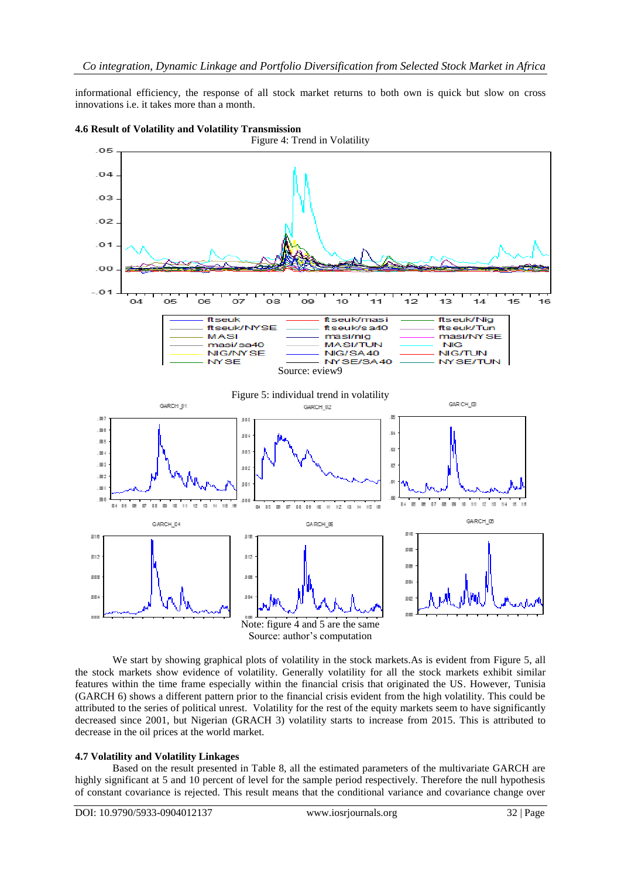informational efficiency, the response of all stock market returns to both own is quick but slow on cross innovations i.e. it takes more than a month.





We start by showing graphical plots of volatility in the stock markets.As is evident from Figure 5, all the stock markets show evidence of volatility. Generally volatility for all the stock markets exhibit similar features within the time frame especially within the financial crisis that originated the US. However, Tunisia (GARCH 6) shows a different pattern prior to the financial crisis evident from the high volatility. This could be attributed to the series of political unrest. Volatility for the rest of the equity markets seem to have significantly decreased since 2001, but Nigerian (GRACH 3) volatility starts to increase from 2015. This is attributed to decrease in the oil prices at the world market.

# **4.7 Volatility and Volatility Linkages**

Based on the result presented in Table 8, all the estimated parameters of the multivariate GARCH are highly significant at 5 and 10 percent of level for the sample period respectively. Therefore the null hypothesis of constant covariance is rejected. This result means that the conditional variance and covariance change over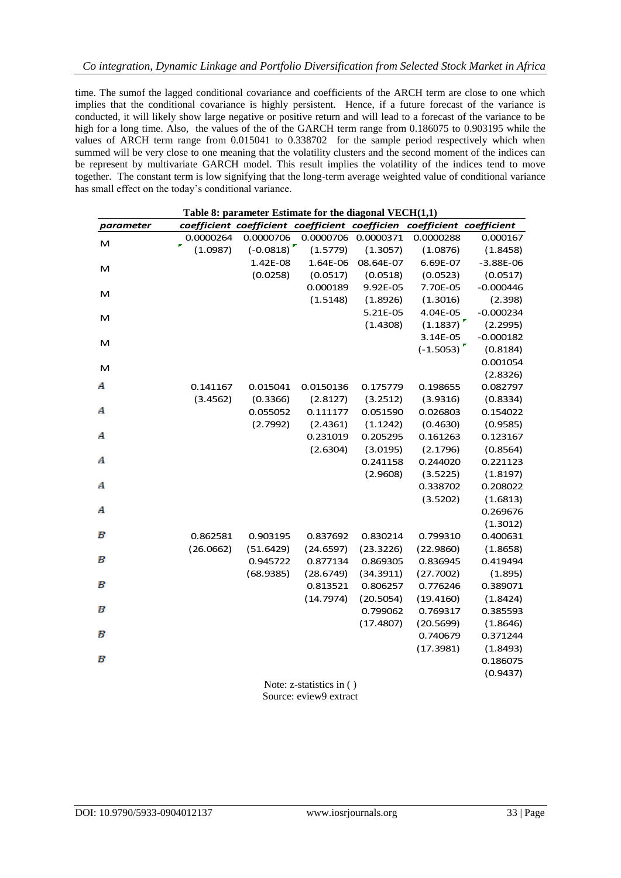time. The sumof the lagged conditional covariance and coefficients of the ARCH term are close to one which implies that the conditional covariance is highly persistent. Hence, if a future forecast of the variance is conducted, it will likely show large negative or positive return and will lead to a forecast of the variance to be high for a long time. Also, the values of the of the GARCH term range from 0.186075 to 0.903195 while the values of ARCH term range from 0.015041 to 0.338702 for the sample period respectively which when summed will be very close to one meaning that the volatility clusters and the second moment of the indices can be represent by multivariate GARCH model. This result implies the volatility of the indices tend to move together. The constant term is low signifying that the long-term average weighted value of conditional variance has small effect on the today's conditional variance.

| Table 8: parameter Estimate for the diagonal $VECH(1,1)$ |                                                |             |           |           |                         |             |  |  |
|----------------------------------------------------------|------------------------------------------------|-------------|-----------|-----------|-------------------------|-------------|--|--|
| parameter                                                | coefficient coefficient coefficient coefficien |             |           |           | coefficient coefficient |             |  |  |
| M                                                        | 0.0000264                                      | 0.0000706   | 0.0000706 | 0.0000371 | 0.0000288               | 0.000167    |  |  |
|                                                          | (1.0987)                                       | $(-0.0818)$ | (1.5779)  | (1.3057)  | (1.0876)                | (1.8458)    |  |  |
| м                                                        |                                                | 1.42E-08    | 1.64E-06  | 08.64E-07 | 6.69E-07                | $-3.88E-06$ |  |  |
|                                                          |                                                | (0.0258)    | (0.0517)  | (0.0518)  | (0.0523)                | (0.0517)    |  |  |
| м                                                        |                                                |             | 0.000189  | 9.92E-05  | 7.70E-05                | $-0.000446$ |  |  |
|                                                          |                                                |             | (1.5148)  | (1.8926)  | (1.3016)                | (2.398)     |  |  |
| м                                                        |                                                |             |           | 5.21E-05  | 4.04E-05                | $-0.000234$ |  |  |
|                                                          |                                                |             |           | (1.4308)  | (1.1837)                | (2.2995)    |  |  |
| М                                                        |                                                |             |           |           | 3.14E-05                | $-0.000182$ |  |  |
|                                                          |                                                |             |           |           | $(-1.5053)$             | (0.8184)    |  |  |
| м                                                        |                                                |             |           |           |                         | 0.001054    |  |  |
|                                                          |                                                |             |           |           |                         | (2.8326)    |  |  |
| A                                                        | 0.141167                                       | 0.015041    | 0.0150136 | 0.175779  | 0.198655                | 0.082797    |  |  |
|                                                          | (3.4562)                                       | (0.3366)    | (2.8127)  | (3.2512)  | (3.9316)                | (0.8334)    |  |  |
| А                                                        |                                                | 0.055052    | 0.111177  | 0.051590  | 0.026803                | 0.154022    |  |  |
|                                                          |                                                | (2.7992)    | (2.4361)  | (1.1242)  | (0.4630)                | (0.9585)    |  |  |
| А                                                        |                                                |             | 0.231019  | 0.205295  | 0.161263                | 0.123167    |  |  |
|                                                          |                                                |             | (2.6304)  | (3.0195)  | (2.1796)                | (0.8564)    |  |  |
| А                                                        |                                                |             |           | 0.241158  | 0.244020                | 0.221123    |  |  |
|                                                          |                                                |             |           | (2.9608)  | (3.5225)                | (1.8197)    |  |  |
| А                                                        |                                                |             |           |           | 0.338702                | 0.208022    |  |  |
|                                                          |                                                |             |           |           | (3.5202)                | (1.6813)    |  |  |
| А                                                        |                                                |             |           |           |                         | 0.269676    |  |  |
|                                                          |                                                |             |           |           |                         | (1.3012)    |  |  |
| В                                                        | 0.862581                                       | 0.903195    | 0.837692  | 0.830214  | 0.799310                | 0.400631    |  |  |
|                                                          | (26.0662)                                      | (51.6429)   | (24.6597) | (23.3226) | (22.9860)               | (1.8658)    |  |  |
| В                                                        |                                                | 0.945722    | 0.877134  | 0.869305  | 0.836945                | 0.419494    |  |  |
|                                                          |                                                | (68.9385)   | (28.6749) | (34.3911) | (27.7002)               | (1.895)     |  |  |
| В                                                        |                                                |             | 0.813521  | 0.806257  | 0.776246                | 0.389071    |  |  |
|                                                          |                                                |             | (14.7974) | (20.5054) | (19.4160)               | (1.8424)    |  |  |
| В                                                        |                                                |             |           | 0.799062  | 0.769317                | 0.385593    |  |  |
|                                                          |                                                |             |           | (17.4807) | (20.5699)               | (1.8646)    |  |  |
| В                                                        |                                                |             |           |           | 0.740679                | 0.371244    |  |  |
|                                                          |                                                |             |           |           | (17.3981)               | (1.8493)    |  |  |
| В                                                        |                                                |             |           |           |                         | 0.186075    |  |  |
|                                                          |                                                |             |           |           |                         | (0.9437)    |  |  |

Note: z-statistics in ( ) Source: eview9 extract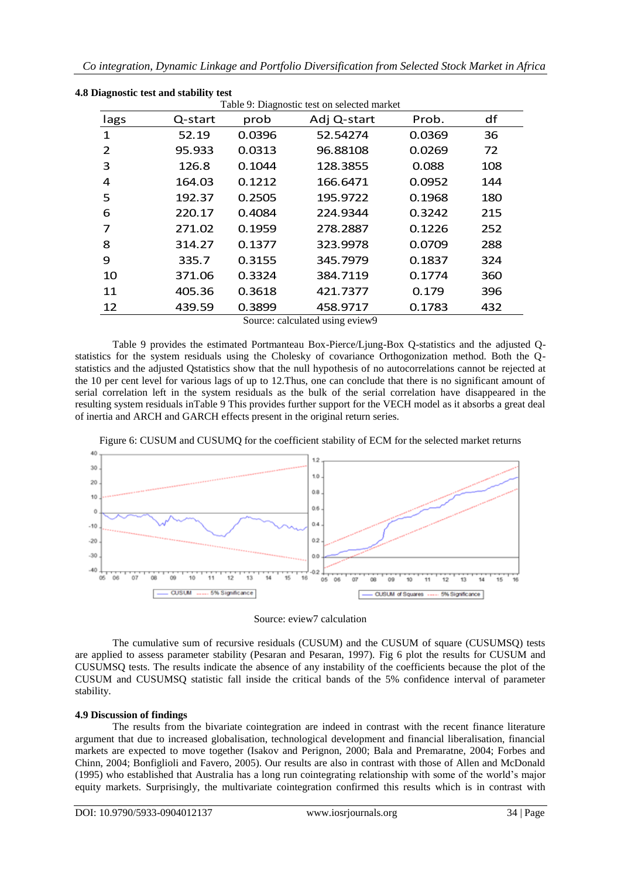| Table 9: Diagnostic test on selected market |         |        |             |        |     |  |  |  |  |
|---------------------------------------------|---------|--------|-------------|--------|-----|--|--|--|--|
| lags                                        | Q-start | prob   | Adj Q-start | Prob.  | df  |  |  |  |  |
| 1                                           | 52.19   | 0.0396 | 52.54274    | 0.0369 | 36  |  |  |  |  |
| 2                                           | 95.933  | 0.0313 | 96.88108    | 0.0269 | 72  |  |  |  |  |
| 3                                           | 126.8   | 0.1044 | 128.3855    | 0.088  | 108 |  |  |  |  |
| 4                                           | 164.03  | 0.1212 | 166.6471    | 0.0952 | 144 |  |  |  |  |
| 5                                           | 192.37  | 0.2505 | 195.9722    | 0.1968 | 180 |  |  |  |  |
| 6                                           | 220.17  | 0.4084 | 224.9344    | 0.3242 | 215 |  |  |  |  |
| 7                                           | 271.02  | 0.1959 | 278.2887    | 0.1226 | 252 |  |  |  |  |
| 8                                           | 314.27  | 0.1377 | 323.9978    | 0.0709 | 288 |  |  |  |  |
| 9                                           | 335.7   | 0.3155 | 345.7979    | 0.1837 | 324 |  |  |  |  |
| 10                                          | 371.06  | 0.3324 | 384.7119    | 0.1774 | 360 |  |  |  |  |
| 11                                          | 405.36  | 0.3618 | 421.7377    | 0.179  | 396 |  |  |  |  |
| 12                                          | 439.59  | 0.3899 | 458.9717    | 0.1783 | 432 |  |  |  |  |

|  |  | 4.8 Diagnostic test and stability test |  |
|--|--|----------------------------------------|--|
|  |  |                                        |  |

Source: calculated using eview9

Table 9 provides the estimated Portmanteau Box-Pierce/Ljung-Box Q-statistics and the adjusted Qstatistics for the system residuals using the Cholesky of covariance Orthogonization method. Both the Qstatistics and the adjusted Qstatistics show that the null hypothesis of no autocorrelations cannot be rejected at the 10 per cent level for various lags of up to 12.Thus, one can conclude that there is no significant amount of serial correlation left in the system residuals as the bulk of the serial correlation have disappeared in the resulting system residuals inTable 9 This provides further support for the VECH model as it absorbs a great deal of inertia and ARCH and GARCH effects present in the original return series.





# Source: eview7 calculation

The cumulative sum of recursive residuals (CUSUM) and the CUSUM of square (CUSUMSQ) tests are applied to assess parameter stability (Pesaran and Pesaran, 1997). Fig 6 plot the results for CUSUM and CUSUMSQ tests. The results indicate the absence of any instability of the coefficients because the plot of the CUSUM and CUSUMSQ statistic fall inside the critical bands of the 5% confidence interval of parameter stability.

# **4.9 Discussion of findings**

The results from the bivariate cointegration are indeed in contrast with the recent finance literature argument that due to increased globalisation, technological development and financial liberalisation, financial markets are expected to move together (Isakov and Perignon, 2000; Bala and Premaratne, 2004; Forbes and Chinn, 2004; Bonfiglioli and Favero, 2005). Our results are also in contrast with those of Allen and McDonald (1995) who established that Australia has a long run cointegrating relationship with some of the world's major equity markets. Surprisingly, the multivariate cointegration confirmed this results which is in contrast with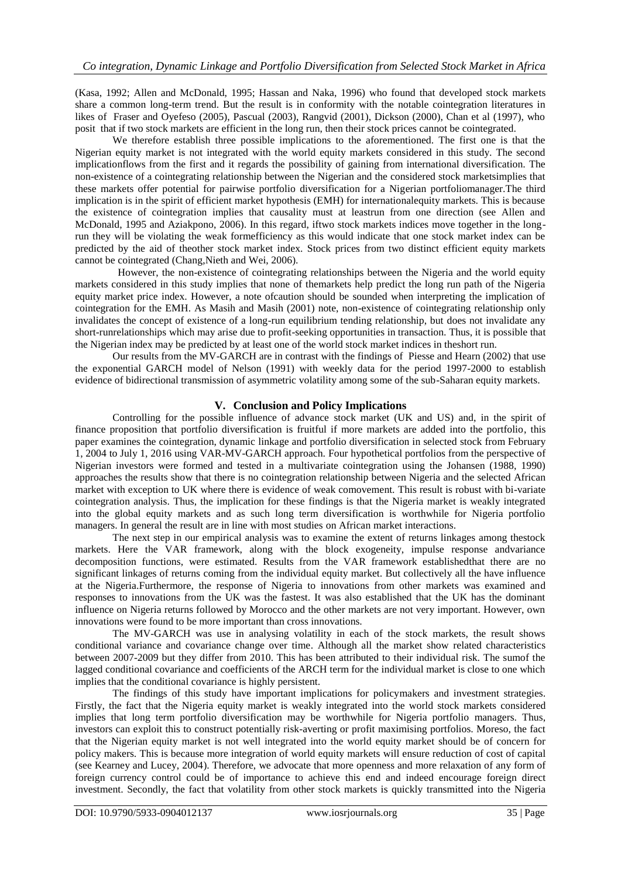(Kasa, 1992; Allen and McDonald, 1995; Hassan and Naka, 1996) who found that developed stock markets share a common long-term trend. But the result is in conformity with the notable cointegration literatures in likes of Fraser and Oyefeso (2005), Pascual (2003), Rangvid (2001), Dickson (2000), Chan et al (1997), who posit that if two stock markets are efficient in the long run, then their stock prices cannot be cointegrated.

We therefore establish three possible implications to the aforementioned. The first one is that the Nigerian equity market is not integrated with the world equity markets considered in this study. The second implicationflows from the first and it regards the possibility of gaining from international diversification. The non-existence of a cointegrating relationship between the Nigerian and the considered stock marketsimplies that these markets offer potential for pairwise portfolio diversification for a Nigerian portfoliomanager.The third implication is in the spirit of efficient market hypothesis (EMH) for internationalequity markets. This is because the existence of cointegration implies that causality must at leastrun from one direction (see Allen and McDonald, 1995 and Aziakpono, 2006). In this regard, iftwo stock markets indices move together in the longrun they will be violating the weak formefficiency as this would indicate that one stock market index can be predicted by the aid of theother stock market index. Stock prices from two distinct efficient equity markets cannot be cointegrated (Chang,Nieth and Wei, 2006).

 However, the non-existence of cointegrating relationships between the Nigeria and the world equity markets considered in this study implies that none of themarkets help predict the long run path of the Nigeria equity market price index. However, a note ofcaution should be sounded when interpreting the implication of cointegration for the EMH. As Masih and Masih (2001) note, non-existence of cointegrating relationship only invalidates the concept of existence of a long-run equilibrium tending relationship, but does not invalidate any short-runrelationships which may arise due to profit-seeking opportunities in transaction. Thus, it is possible that the Nigerian index may be predicted by at least one of the world stock market indices in theshort run.

Our results from the MV-GARCH are in contrast with the findings of Piesse and Hearn (2002) that use the exponential GARCH model of Nelson (1991) with weekly data for the period 1997-2000 to establish evidence of bidirectional transmission of asymmetric volatility among some of the sub-Saharan equity markets.

# **V. Conclusion and Policy Implications**

Controlling for the possible influence of advance stock market (UK and US) and, in the spirit of finance proposition that portfolio diversification is fruitful if more markets are added into the portfolio, this paper examines the cointegration, dynamic linkage and portfolio diversification in selected stock from February 1, 2004 to July 1, 2016 using VAR-MV-GARCH approach. Four hypothetical portfolios from the perspective of Nigerian investors were formed and tested in a multivariate cointegration using the Johansen (1988, 1990) approaches the results show that there is no cointegration relationship between Nigeria and the selected African market with exception to UK where there is evidence of weak comovement. This result is robust with bi-variate cointegration analysis. Thus, the implication for these findings is that the Nigeria market is weakly integrated into the global equity markets and as such long term diversification is worthwhile for Nigeria portfolio managers. In general the result are in line with most studies on African market interactions.

The next step in our empirical analysis was to examine the extent of returns linkages among thestock markets. Here the VAR framework, along with the block exogeneity, impulse response andvariance decomposition functions, were estimated. Results from the VAR framework establishedthat there are no significant linkages of returns coming from the individual equity market. But collectively all the have influence at the Nigeria.Furthermore, the response of Nigeria to innovations from other markets was examined and responses to innovations from the UK was the fastest. It was also established that the UK has the dominant influence on Nigeria returns followed by Morocco and the other markets are not very important. However, own innovations were found to be more important than cross innovations.

The MV-GARCH was use in analysing volatility in each of the stock markets, the result shows conditional variance and covariance change over time. Although all the market show related characteristics between 2007-2009 but they differ from 2010. This has been attributed to their individual risk. The sumof the lagged conditional covariance and coefficients of the ARCH term for the individual market is close to one which implies that the conditional covariance is highly persistent.

The findings of this study have important implications for policymakers and investment strategies. Firstly, the fact that the Nigeria equity market is weakly integrated into the world stock markets considered implies that long term portfolio diversification may be worthwhile for Nigeria portfolio managers. Thus, investors can exploit this to construct potentially risk-averting or profit maximising portfolios. Moreso, the fact that the Nigerian equity market is not well integrated into the world equity market should be of concern for policy makers. This is because more integration of world equity markets will ensure reduction of cost of capital (see Kearney and Lucey, 2004). Therefore, we advocate that more openness and more relaxation of any form of foreign currency control could be of importance to achieve this end and indeed encourage foreign direct investment. Secondly, the fact that volatility from other stock markets is quickly transmitted into the Nigeria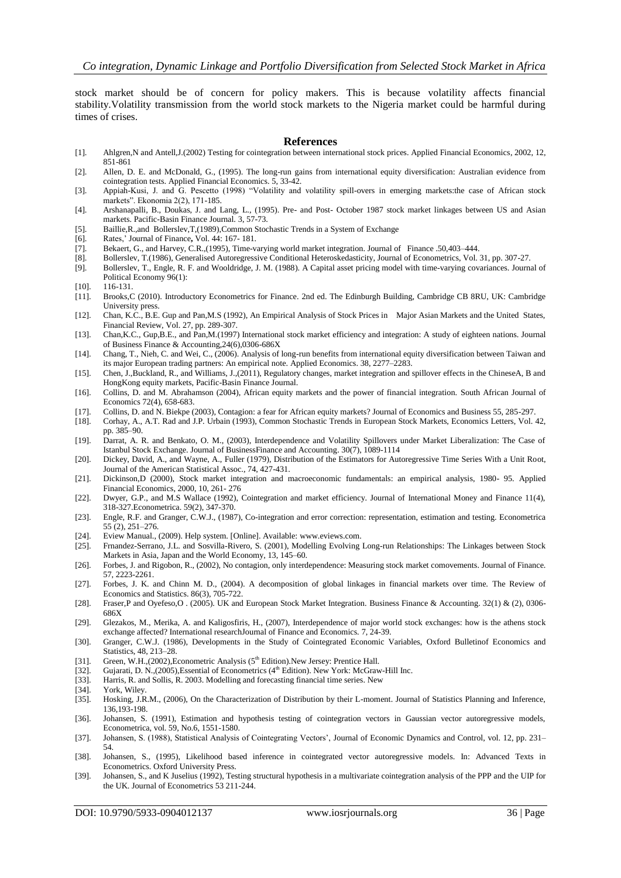stock market should be of concern for policy makers. This is because volatility affects financial stability.Volatility transmission from the world stock markets to the Nigeria market could be harmful during times of crises.

#### **References**

- [1]. Ahlgren,N and Antell,J.(2002) Testing for cointegration between international stock prices. Applied Financial Economics, 2002, 12, 851-861
- [2]. Allen, D. E. and McDonald, G., (1995). The long-run gains from international equity diversification: Australian evidence from cointegration tests. Applied Financial Economics. 5, 33-42.
- [3]. Appiah-Kusi, J. and G. Pescetto (1998) "Volatility and volatility spill-overs in emerging markets:the case of African stock markets". Ekonomia 2(2), 171-185.
- [4]. Arshanapalli, B., Doukas, J. and Lang, L., (1995). Pre- and Post- October 1987 stock market linkages between US and Asian markets. Pacific-Basin Finance Journal. 3, 57-73.
- [5]. Baillie,R.,and Bollerslev,T,(1989),Common Stochastic Trends in a System of Exchange
- [6]. Rates,' Journal of Finance**,** Vol. 44: 167- 181.
- [7]. Bekaert, G., and Harvey, C.R.,(1995), Time-varying world market integration. Journal of Finance .50,403–444.
- [8]. Bollerslev, T.(1986), Generalised Autoregressive Conditional Heteroskedasticity, Journal of Econometrics, Vol. 31, pp. 307-27.
- [9]. Bollerslev, T., Engle, R. F. and Wooldridge, J. M. (1988). A Capital asset pricing model with time-varying covariances. Journal of Political Economy 96(1):
- [10]. 116-131.
- [11]. Brooks,C (2010). Introductory Econometrics for Finance. 2nd ed. The Edinburgh Building, Cambridge CB 8RU, UK: Cambridge University press.
- [12]. Chan, K.C., B.E. Gup and Pan,M.S (1992), An Empirical Analysis of Stock Prices in Major Asian Markets and the United States, Financial Review, Vol. 27, pp. 289-307.
- [13]. Chan,K.C., Gup,B.E., and Pan,M.(1997) International stock market efficiency and integration: A study of eighteen nations. Journal of Business Finance & Accounting,24(6),0306-686X
- [14]. Chang, T., Nieh, C. and Wei, C., (2006). Analysis of long-run benefits from international equity diversification between Taiwan and its major European trading partners: An empirical note. Applied Economics. 38, 2277–2283.
- [15]. Chen, J.,Buckland, R., and Williams, J.,(2011), Regulatory changes, market integration and spillover effects in the ChineseA, B and HongKong equity markets, Pacific-Basin Finance Journal.
- [16]. Collins, D. and M. Abrahamson (2004), African equity markets and the power of financial integration. South African Journal of Economics 72(4), 658-683.
- [17]. Collins, D. and N. Biekpe (2003), Contagion: a fear for African equity markets? Journal of Economics and Business 55, 285-297.
- [18]. Corhay, A., A.T. Rad and J.P. Urbain (1993), Common Stochastic Trends in European Stock Markets, Economics Letters, Vol. 42, pp. 385–90.
- [19]. Darrat, A. R. and Benkato, O. M., (2003), Interdependence and Volatility Spillovers under Market Liberalization: The Case of Istanbul Stock Exchange. Journal of BusinessFinance and Accounting. 30(7), 1089-1114
- [20]. Dickey, David, A., and Wayne, A., Fuller (1979), Distribution of the Estimators for Autoregressive Time Series With a Unit Root, Journal of the American Statistical Assoc., 74, 427-431.
- [21]. Dickinson,D (2000), Stock market integration and macroeconomic fundamentals: an empirical analysis, 1980- 95. Applied Financial Economics, 2000, 10, 261- 276
- [22]. Dwyer, G.P., and M.S Wallace (1992), Cointegration and market efficiency. Journal of International Money and Finance 11(4), 318-327.Econometrica. 59(2), 347-370.
- [23]. Engle, R.F. and Granger, C.W.J., (1987), Co-integration and error correction: representation, estimation and testing. Econometrica 55 (2), 251–276.
- [24]. Eview Manual., (2009). Help system. [Online]. Available[: www.eviews.com.](http://www.eviews.com/)
- [25]. Frnandez-Serrano, J.L. and Sosvilla-Rivero, S. (2001), Modelling Evolving Long-run Relationships: The Linkages between Stock Markets in Asia, Japan and the World Economy, 13, 145–60.
- [26]. Forbes, J. and Rigobon, R., (2002), No contagion, only interdependence: Measuring stock market comovements. Journal of Finance. 57, 2223-2261.
- [27]. Forbes, J. K. and Chinn M. D., (2004). A decomposition of global linkages in financial markets over time. The Review of Economics and Statistics. 86(3), 705-722.
- [28]. Fraser,P and Oyefeso,O . (2005). UK and European Stock Market Integration. Business Finance & Accounting. 32(1) & (2), 0306- 686X
- [29]. Glezakos, M., Merika, A. and Kaligosfiris, H., (2007), Interdependence of major world stock exchanges: how is the athens stock exchange affected? International researchJournal of Finance and Economics. 7, 24-39.
- [30]. Granger, C.W.J. (1986), Developments in the Study of Cointegrated Economic Variables, Oxford Bulletinof Economics and Statistics, 48, 213–28.
- [31]. Green, W.H.,(2002),Econometric Analysis ( $5<sup>th</sup> Edition$ ).New Jersey: Prentice Hall.<br>[32]. Guiarati, D. N.,(2005).Essential of Econometrics ( $4<sup>th</sup> Edition$ ). New York: McGrav
- Guiarati, D. N.,(2005), Essential of Econometrics ( $4<sup>th</sup>$  Edition). New York: McGraw-Hill Inc.
- [33]. Harris, R. and Sollis, R. 2003. Modelling and forecasting financial time series. New
- 
- [34]. York, Wiley.<br>[35]. Hosking, J.R Hosking, J.R.M., (2006), On the Characterization of Distribution by their L-moment. Journal of Statistics Planning and Inference, 136,193-198.
- [36]. Johansen, S. (1991), Estimation and hypothesis testing of cointegration vectors in Gaussian vector autoregressive models, Econometrica, vol. 59, No.6, 1551-1580.
- [37]. Johansen, S. (1988), Statistical Analysis of Cointegrating Vectors', Journal of Economic Dynamics and Control, vol. 12, pp. 231– 54.
- [38]. Johansen, S., (1995), Likelihood based inference in cointegrated vector autoregressive models. In: Advanced Texts in Econometrics. Oxford University Press.
- [39]. Johansen, S., and K Juselius (1992), Testing structural hypothesis in a multivariate cointegration analysis of the PPP and the UIP for the UK. Journal of Econometrics 53 211-244.